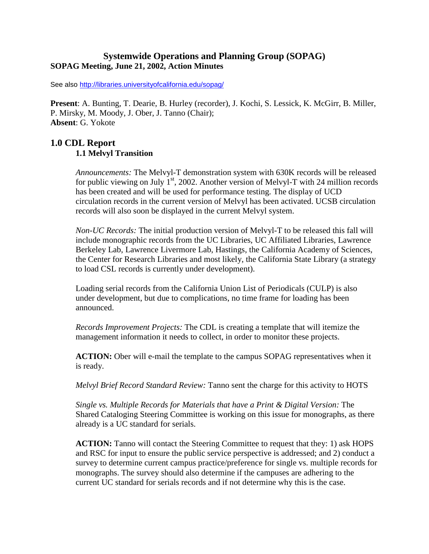### **Systemwide Operations and Planning Group (SOPAG) SOPAG Meeting, June 21, 2002, Action Minutes**

See also http://libraries.universityofcalifornia.edu/sopag/

**Present**: A. Bunting, T. Dearie, B. Hurley (recorder), J. Kochi, S. Lessick, K. McGirr, B. Miller, P. Mirsky, M. Moody, J. Ober, J. Tanno (Chair); **Absent**: G. Yokote

### **1.0 CDL Report 1.1 Melvyl Transition**

*Announcements:* The Melvyl-T demonstration system with 630K records will be released for public viewing on July  $1<sup>st</sup>$ , 2002. Another version of Melvyl-T with 24 million records has been created and will be used for performance testing. The display of UCD circulation records in the current version of Melvyl has been activated. UCSB circulation records will also soon be displayed in the current Melvyl system.

*Non-UC Records:* The initial production version of Melvyl-T to be released this fall will include monographic records from the UC Libraries, UC Affiliated Libraries, Lawrence Berkeley Lab, Lawrence Livermore Lab, Hastings, the California Academy of Sciences, the Center for Research Libraries and most likely, the California State Library (a strategy to load CSL records is currently under development).

Loading serial records from the California Union List of Periodicals (CULP) is also under development, but due to complications, no time frame for loading has been announced.

*Records Improvement Projects:* The CDL is creating a template that will itemize the management information it needs to collect, in order to monitor these projects.

**ACTION:** Ober will e-mail the template to the campus SOPAG representatives when it is ready.

*Melvyl Brief Record Standard Review:* Tanno sent the charge for this activity to HOTS

*Single vs. Multiple Records for Materials that have a Print & Digital Version:* The Shared Cataloging Steering Committee is working on this issue for monographs, as there already is a UC standard for serials.

**ACTION:** Tanno will contact the Steering Committee to request that they: 1) ask HOPS and RSC for input to ensure the public service perspective is addressed; and 2) conduct a survey to determine current campus practice/preference for single vs. multiple records for monographs. The survey should also determine if the campuses are adhering to the current UC standard for serials records and if not determine why this is the case.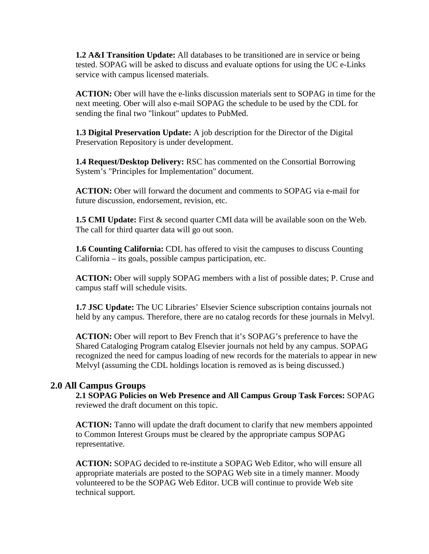**1.2 A&I Transition Update:** All databases to be transitioned are in service or being tested. SOPAG will be asked to discuss and evaluate options for using the UC e-Links service with campus licensed materials.

**ACTION:** Ober will have the e-links discussion materials sent to SOPAG in time for the next meeting. Ober will also e-mail SOPAG the schedule to be used by the CDL for sending the final two "linkout" updates to PubMed.

**1.3 Digital Preservation Update:** A job description for the Director of the Digital Preservation Repository is under development.

**1.4 Request/Desktop Delivery:** RSC has commented on the Consortial Borrowing System's "Principles for Implementation" document.

**ACTION:** Ober will forward the document and comments to SOPAG via e-mail for future discussion, endorsement, revision, etc.

**1.5 CMI Update:** First & second quarter CMI data will be available soon on the Web. The call for third quarter data will go out soon.

**1.6 Counting California:** CDL has offered to visit the campuses to discuss Counting California – its goals, possible campus participation, etc.

**ACTION:** Ober will supply SOPAG members with a list of possible dates; P. Cruse and campus staff will schedule visits.

**1.7 JSC Update:** The UC Libraries' Elsevier Science subscription contains journals not held by any campus. Therefore, there are no catalog records for these journals in Melvyl.

**ACTION:** Ober will report to Bev French that it's SOPAG's preference to have the Shared Cataloging Program catalog Elsevier journals not held by any campus. SOPAG recognized the need for campus loading of new records for the materials to appear in new Melvyl (assuming the CDL holdings location is removed as is being discussed.)

### **2.0 All Campus Groups**

**2.1 SOPAG Policies on Web Presence and All Campus Group Task Forces:** SOPAG reviewed the draft document on this topic.

**ACTION:** Tanno will update the draft document to clarify that new members appointed to Common Interest Groups must be cleared by the appropriate campus SOPAG representative.

**ACTION:** SOPAG decided to re-institute a SOPAG Web Editor, who will ensure all appropriate materials are posted to the SOPAG Web site in a timely manner. Moody volunteered to be the SOPAG Web Editor. UCB will continue to provide Web site technical support.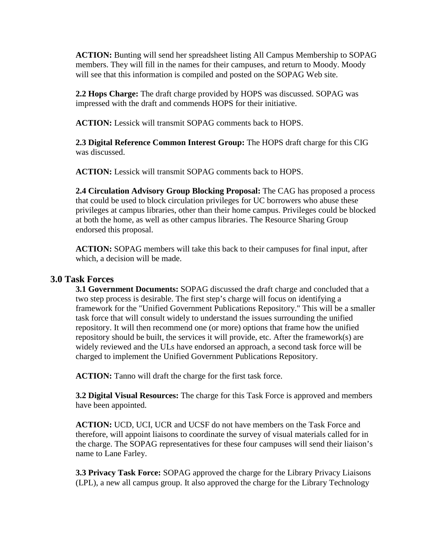**ACTION:** Bunting will send her spreadsheet listing All Campus Membership to SOPAG members. They will fill in the names for their campuses, and return to Moody. Moody will see that this information is compiled and posted on the SOPAG Web site.

**2.2 Hops Charge:** The draft charge provided by HOPS was discussed. SOPAG was impressed with the draft and commends HOPS for their initiative.

**ACTION:** Lessick will transmit SOPAG comments back to HOPS.

**2.3 Digital Reference Common Interest Group:** The HOPS draft charge for this CIG was discussed.

**ACTION:** Lessick will transmit SOPAG comments back to HOPS.

**2.4 Circulation Advisory Group Blocking Proposal:** The CAG has proposed a process that could be used to block circulation privileges for UC borrowers who abuse these privileges at campus libraries, other than their home campus. Privileges could be blocked at both the home, as well as other campus libraries. The Resource Sharing Group endorsed this proposal.

**ACTION:** SOPAG members will take this back to their campuses for final input, after which, a decision will be made.

#### **3.0 Task Forces**

**3.1 Government Documents:** SOPAG discussed the draft charge and concluded that a two step process is desirable. The first step's charge will focus on identifying a framework for the "Unified Government Publications Repository." This will be a smaller task force that will consult widely to understand the issues surrounding the unified repository. It will then recommend one (or more) options that frame how the unified repository should be built, the services it will provide, etc. After the framework(s) are widely reviewed and the ULs have endorsed an approach, a second task force will be charged to implement the Unified Government Publications Repository.

**ACTION:** Tanno will draft the charge for the first task force.

**3.2 Digital Visual Resources:** The charge for this Task Force is approved and members have been appointed.

**ACTION:** UCD, UCI, UCR and UCSF do not have members on the Task Force and therefore, will appoint liaisons to coordinate the survey of visual materials called for in the charge. The SOPAG representatives for these four campuses will send their liaison's name to Lane Farley.

**3.3 Privacy Task Force:** SOPAG approved the charge for the Library Privacy Liaisons (LPL), a new all campus group. It also approved the charge for the Library Technology